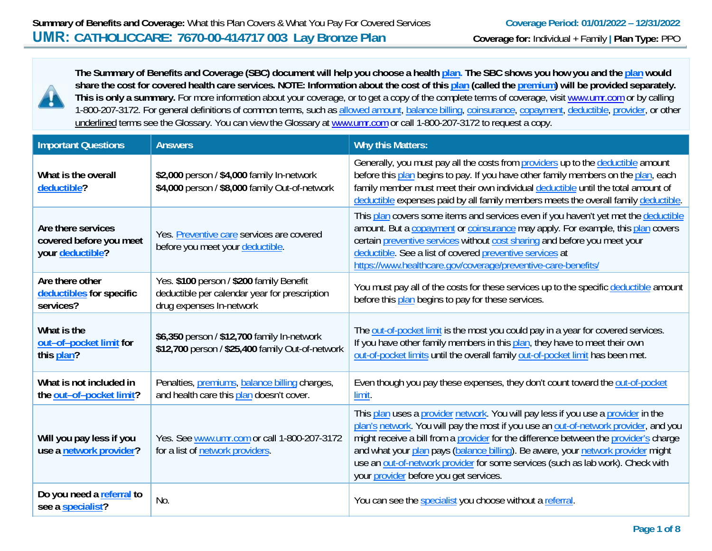

**The Summary of Benefits and Coverage (SBC) document will help you choose a health plan. The SBC shows you how you and the plan would share the cost for covered health care services. NOTE: Information about the cost of this plan (called the premium) will be provided separately.**  This is only a summary. For more information about your coverage, or to get a copy of the complete terms of coverage, visit www.umr.com or by calling 1-800-207-3172. For general definitions of common terms, such as allowed amount, balance billing, coinsurance, copayment, deductible, provider, or other underlined terms see the Glossary. You can view the Glossary at www.umr.com or call 1-800-207-3172 to request a copy.

| <b>Important Questions</b>                                        | <b>Answers</b>                                                                                                        | <b>Why this Matters:</b>                                                                                                                                                                                                                                                                                                                                                                                                                                                            |
|-------------------------------------------------------------------|-----------------------------------------------------------------------------------------------------------------------|-------------------------------------------------------------------------------------------------------------------------------------------------------------------------------------------------------------------------------------------------------------------------------------------------------------------------------------------------------------------------------------------------------------------------------------------------------------------------------------|
| What is the overall<br>deductible?                                | \$2,000 person / \$4,000 family In-network<br>\$4,000 person / \$8,000 family Out-of-network                          | Generally, you must pay all the costs from providers up to the deductible amount<br>before this plan begins to pay. If you have other family members on the plan, each<br>family member must meet their own individual deductible until the total amount of<br>deductible expenses paid by all family members meets the overall family deductible.                                                                                                                                  |
| Are there services<br>covered before you meet<br>your deductible? | Yes. Preventive care services are covered<br>before you meet your deductible.                                         | This plan covers some items and services even if you haven't yet met the deductible<br>amount. But a copayment or coinsurance may apply. For example, this plan covers<br>certain preventive services without cost sharing and before you meet your<br>deductible. See a list of covered preventive services at<br>https://www.healthcare.gov/coverage/preventive-care-benefits/                                                                                                    |
| Are there other<br>deductibles for specific<br>services?          | Yes. \$100 person / \$200 family Benefit<br>deductible per calendar year for prescription<br>drug expenses In-network | You must pay all of the costs for these services up to the specific deductible amount<br>before this plan begins to pay for these services.                                                                                                                                                                                                                                                                                                                                         |
| What is the<br>out-of-pocket limit for<br>this plan?              | \$6,350 person / \$12,700 family In-network<br>\$12,700 person / \$25,400 family Out-of-network                       | The out-of-pocket limit is the most you could pay in a year for covered services.<br>If you have other family members in this plan, they have to meet their own<br>out-of-pocket limits until the overall family out-of-pocket limit has been met.                                                                                                                                                                                                                                  |
| What is not included in<br>the out-of-pocket limit?               | Penalties, <i>premiums</i> , <i>balance billing</i> charges,<br>and health care this plan doesn't cover.              | Even though you pay these expenses, they don't count toward the out-of-pocket<br>limit.                                                                                                                                                                                                                                                                                                                                                                                             |
| Will you pay less if you<br>use a network provider?               | Yes. See www.umr.com or call 1-800-207-3172<br>for a list of network providers.                                       | This plan uses a provider network. You will pay less if you use a provider in the<br>plan's network. You will pay the most if you use an out-of-network provider, and you<br>might receive a bill from a provider for the difference between the provider's charge<br>and what your plan pays (balance billing). Be aware, your network provider might<br>use an out-of-network provider for some services (such as lab work). Check with<br>your provider before you get services. |
| Do you need a referral to<br>see a specialist?                    | No.                                                                                                                   | You can see the specialist you choose without a referral.                                                                                                                                                                                                                                                                                                                                                                                                                           |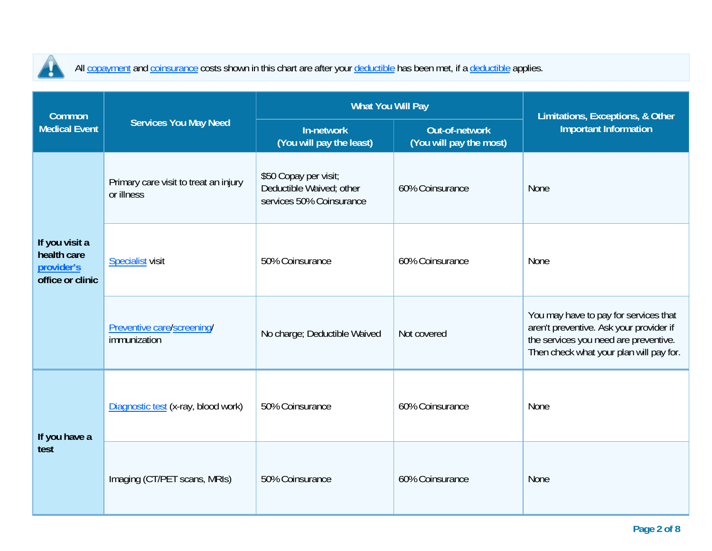

All copayment and coinsurance costs shown in this chart are after your deductible has been met, if a deductible applies.

| <b>Common</b>                                                   |                                                     | <b>What You Will Pay</b>                                                      | Limitations, Exceptions, & Other                 |                                                                                                                                                                      |  |
|-----------------------------------------------------------------|-----------------------------------------------------|-------------------------------------------------------------------------------|--------------------------------------------------|----------------------------------------------------------------------------------------------------------------------------------------------------------------------|--|
| <b>Medical Event</b>                                            | <b>Services You May Need</b>                        | In-network<br>(You will pay the least)                                        | <b>Out-of-network</b><br>(You will pay the most) | <b>Important Information</b>                                                                                                                                         |  |
| If you visit a<br>health care<br>provider's<br>office or clinic | Primary care visit to treat an injury<br>or illness | \$50 Copay per visit;<br>Deductible Waived; other<br>services 50% Coinsurance | 60% Coinsurance                                  | None                                                                                                                                                                 |  |
|                                                                 | <b>Specialist visit</b>                             | 50% Coinsurance                                                               | 60% Coinsurance                                  | None                                                                                                                                                                 |  |
|                                                                 | Preventive care/screening/<br>immunization          | No charge; Deductible Waived                                                  | Not covered                                      | You may have to pay for services that<br>aren't preventive. Ask your provider if<br>the services you need are preventive.<br>Then check what your plan will pay for. |  |
| If you have a<br>test                                           | Diagnostic test (x-ray, blood work)                 | 50% Coinsurance                                                               | 60% Coinsurance                                  | None                                                                                                                                                                 |  |
|                                                                 | Imaging (CT/PET scans, MRIs)                        | 50% Coinsurance                                                               | 60% Coinsurance                                  | None                                                                                                                                                                 |  |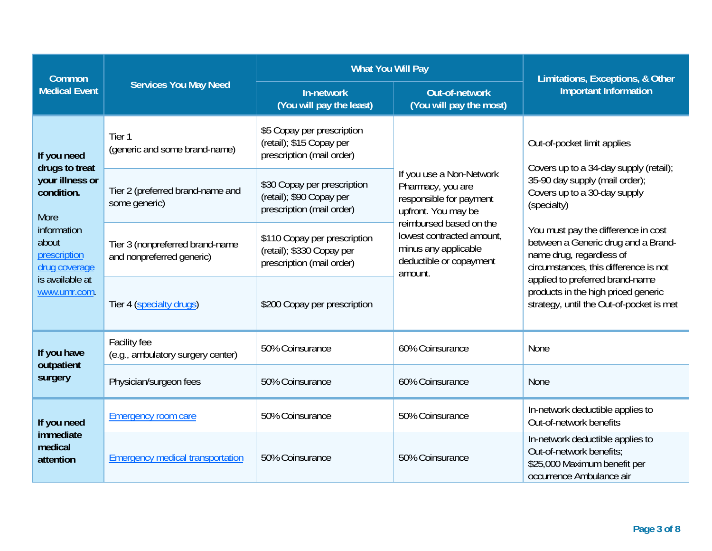| <b>Common</b>                                                                                                                                                      |                                                              | <b>What You Will Pay</b>                                                               | Limitations, Exceptions, & Other                                                                                   |                                                                                                                                                                                                                                  |  |
|--------------------------------------------------------------------------------------------------------------------------------------------------------------------|--------------------------------------------------------------|----------------------------------------------------------------------------------------|--------------------------------------------------------------------------------------------------------------------|----------------------------------------------------------------------------------------------------------------------------------------------------------------------------------------------------------------------------------|--|
| <b>Medical Event</b>                                                                                                                                               | <b>Services You May Need</b>                                 | In-network<br>(You will pay the least)                                                 | <b>Out-of-network</b><br>(You will pay the most)                                                                   | <b>Important Information</b>                                                                                                                                                                                                     |  |
| If you need<br>drugs to treat<br>your illness or<br>condition.<br>More<br>information<br>about<br>prescription<br>drug coverage<br>is available at<br>www.umr.com. | Tier 1<br>(generic and some brand-name)                      | \$5 Copay per prescription<br>(retail); \$15 Copay per<br>prescription (mail order)    |                                                                                                                    | Out-of-pocket limit applies<br>Covers up to a 34-day supply (retail);                                                                                                                                                            |  |
|                                                                                                                                                                    | Tier 2 (preferred brand-name and<br>some generic)            | \$30 Copay per prescription<br>(retail); \$90 Copay per<br>prescription (mail order)   | If you use a Non-Network<br>Pharmacy, you are<br>responsible for payment<br>upfront. You may be                    | 35-90 day supply (mail order);<br>Covers up to a 30-day supply<br>(specialty)<br>You must pay the difference in cost<br>between a Generic drug and a Brand-<br>name drug, regardless of<br>circumstances, this difference is not |  |
|                                                                                                                                                                    | Tier 3 (nonpreferred brand-name<br>and nonpreferred generic) | \$110 Copay per prescription<br>(retail); \$330 Copay per<br>prescription (mail order) | reimbursed based on the<br>lowest contracted amount.<br>minus any applicable<br>deductible or copayment<br>amount. |                                                                                                                                                                                                                                  |  |
|                                                                                                                                                                    | Tier 4 (specialty drugs)                                     | \$200 Copay per prescription                                                           |                                                                                                                    | applied to preferred brand-name<br>products in the high priced generic<br>strategy, until the Out-of-pocket is met                                                                                                               |  |
| If you have                                                                                                                                                        | <b>Facility fee</b><br>(e.g., ambulatory surgery center)     | 50% Coinsurance                                                                        | 60% Coinsurance                                                                                                    | None                                                                                                                                                                                                                             |  |
| outpatient<br>surgery                                                                                                                                              | Physician/surgeon fees                                       | 50% Coinsurance                                                                        | 60% Coinsurance                                                                                                    | None                                                                                                                                                                                                                             |  |
| If you need<br>immediate<br>medical<br>attention                                                                                                                   | <b>Emergency room care</b>                                   | 50% Coinsurance                                                                        | 50% Coinsurance                                                                                                    | In-network deductible applies to<br>Out-of-network benefits                                                                                                                                                                      |  |
|                                                                                                                                                                    | <b>Emergency medical transportation</b>                      | 50% Coinsurance                                                                        | 50% Coinsurance                                                                                                    | In-network deductible applies to<br>Out-of-network benefits:<br>\$25,000 Maximum benefit per<br>occurrence Ambulance air                                                                                                         |  |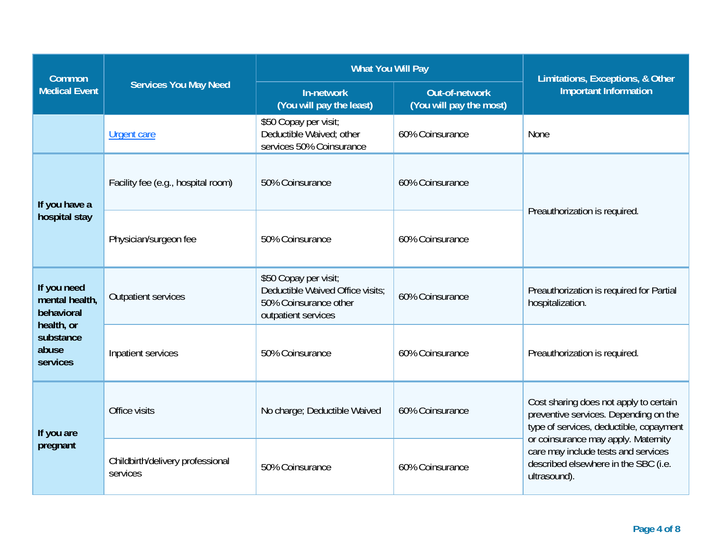| <b>Common</b>                                                                               | <b>Services You May Need</b>                 | <b>What You Will Pay</b>                                                                                  | Limitations, Exceptions, & Other<br><b>Important Information</b> |                                                                                                                                                                                                                                                                  |  |
|---------------------------------------------------------------------------------------------|----------------------------------------------|-----------------------------------------------------------------------------------------------------------|------------------------------------------------------------------|------------------------------------------------------------------------------------------------------------------------------------------------------------------------------------------------------------------------------------------------------------------|--|
| <b>Medical Event</b>                                                                        |                                              | Out-of-network<br>In-network<br>(You will pay the least)<br>(You will pay the most)                       |                                                                  |                                                                                                                                                                                                                                                                  |  |
|                                                                                             | <b>Urgent care</b>                           | \$50 Copay per visit;<br>Deductible Waived; other<br>services 50% Coinsurance                             | 60% Coinsurance                                                  | <b>None</b>                                                                                                                                                                                                                                                      |  |
| If you have a                                                                               | Facility fee (e.g., hospital room)           | 50% Coinsurance                                                                                           | 60% Coinsurance                                                  | Preauthorization is required.                                                                                                                                                                                                                                    |  |
| hospital stay                                                                               | Physician/surgeon fee                        | 50% Coinsurance                                                                                           | 60% Coinsurance                                                  |                                                                                                                                                                                                                                                                  |  |
| If you need<br>mental health,<br>behavioral<br>health, or<br>substance<br>abuse<br>services | <b>Outpatient services</b>                   | \$50 Copay per visit;<br>Deductible Waived Office visits:<br>50% Coinsurance other<br>outpatient services | 60% Coinsurance                                                  | Preauthorization is required for Partial<br>hospitalization.                                                                                                                                                                                                     |  |
|                                                                                             | Inpatient services                           | 50% Coinsurance                                                                                           | 60% Coinsurance                                                  | Preauthorization is required.                                                                                                                                                                                                                                    |  |
| If you are<br>pregnant                                                                      | Office visits                                | No charge; Deductible Waived                                                                              | 60% Coinsurance                                                  | Cost sharing does not apply to certain<br>preventive services. Depending on the<br>type of services, deductible, copayment<br>or coinsurance may apply. Maternity<br>care may include tests and services<br>described elsewhere in the SBC (i.e.<br>ultrasound). |  |
|                                                                                             | Childbirth/delivery professional<br>services | 50% Coinsurance                                                                                           | 60% Coinsurance                                                  |                                                                                                                                                                                                                                                                  |  |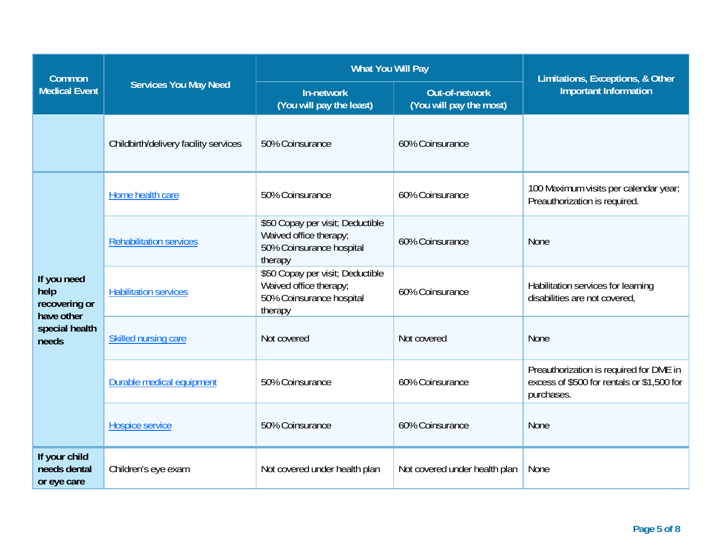| <b>Common</b>                                                                 |                                       | <b>What You Will Pay</b>                                                                          | Limitations, Exceptions, & Other          |                                                                                                     |  |
|-------------------------------------------------------------------------------|---------------------------------------|---------------------------------------------------------------------------------------------------|-------------------------------------------|-----------------------------------------------------------------------------------------------------|--|
| <b>Medical Event</b>                                                          | <b>Services You May Need</b>          | In-network<br>(You will pay the least)                                                            | Out-of-network<br>(You will pay the most) | <b>Important Information</b>                                                                        |  |
|                                                                               | Childbirth/delivery facility services | 50% Coinsurance                                                                                   | 60% Coinsurance                           |                                                                                                     |  |
| If you need<br>help<br>recovering or<br>have other<br>special health<br>needs | Home health care                      | 50% Coinsurance                                                                                   | 60% Coinsurance                           | 100 Maximum visits per calendar year;<br>Preauthorization is required.                              |  |
|                                                                               | <b>Rehabilitation services</b>        | \$50 Copay per visit; Deductible<br>Waived office therapy;<br>50% Coinsurance hospital<br>therapy | 60% Coinsurance                           | None                                                                                                |  |
|                                                                               | <b>Habilitation services</b>          | \$50 Copay per visit; Deductible<br>Waived office therapy;<br>50% Coinsurance hospital<br>therapy | 60% Coinsurance                           | Habilitation services for learning<br>disabilities are not covered,                                 |  |
|                                                                               | <b>Skilled nursing care</b>           | Not covered                                                                                       | Not covered                               | None                                                                                                |  |
|                                                                               | Durable medical equipment             | 50% Coinsurance                                                                                   | 60% Coinsurance                           | Preauthorization is required for DME in<br>excess of \$500 for rentals or \$1,500 for<br>purchases. |  |
|                                                                               | <b>Hospice service</b>                | 50% Coinsurance                                                                                   | 60% Coinsurance                           | None                                                                                                |  |
| If your child<br>needs dental<br>or eye care                                  | Children's eye exam                   | Not covered under health plan                                                                     | Not covered under health plan             | None                                                                                                |  |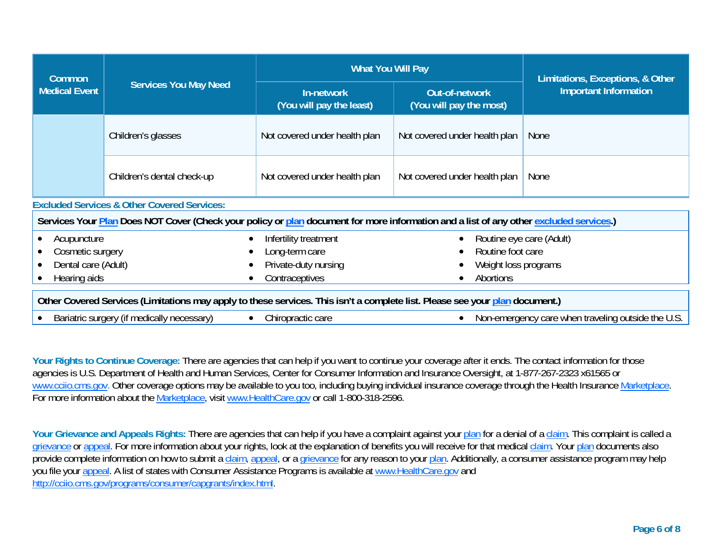| Common                                                                                                                                 | <b>Services You May Need</b>               | <b>What You Will Pay</b>                     | Limitations, Exceptions, & Other                   |                              |  |
|----------------------------------------------------------------------------------------------------------------------------------------|--------------------------------------------|----------------------------------------------|----------------------------------------------------|------------------------------|--|
| <b>Medical Event</b>                                                                                                                   |                                            | In-network<br>(You will pay the least)       | <b>Out-of-network</b><br>(You will pay the most)   | <b>Important Information</b> |  |
|                                                                                                                                        | Children's glasses                         | Not covered under health plan                | Not covered under health plan                      | <b>None</b>                  |  |
|                                                                                                                                        | Children's dental check-up                 | Not covered under health plan                | Not covered under health plan                      | None                         |  |
| <b>Excluded Services &amp; Other Covered Services:</b>                                                                                 |                                            |                                              |                                                    |                              |  |
| Services Your Plan Does NOT Cover (Check your policy or plan document for more information and a list of any other excluded services.) |                                            |                                              |                                                    |                              |  |
| Acupuncture                                                                                                                            |                                            | Infertility treatment                        |                                                    | Routine eye care (Adult)     |  |
| Cosmetic surgery                                                                                                                       |                                            | Routine foot care<br>Long-term care          |                                                    |                              |  |
| Dental care (Adult)                                                                                                                    |                                            | Private-duty nursing<br>Weight loss programs |                                                    |                              |  |
| Hearing aids                                                                                                                           |                                            | Contraceptives<br>Abortions                  |                                                    |                              |  |
| Other Covered Services (Limitations may apply to these services. This isn't a complete list. Please see your plan document.)           |                                            |                                              |                                                    |                              |  |
|                                                                                                                                        | Bariatric surgery (if medically necessary) | Chiropractic care                            | Non-emergency care when traveling outside the U.S. |                              |  |

Your Rights to Continue Coverage: There are agencies that can help if you want to continue your coverage after it ends. The contact information for those agencies is U.S. Department of Health and Human Services, Center for Consumer Information and Insurance Oversight, at 1-877-267-2323 x61565 or www.cciio.cms.gov. Other coverage options may be available to you too, including buying individual insurance coverage through the Health Insurance Marketplace. For more information about the Marketplace, visit www.HealthCare.gov or call 1-800-318-2596.

Your Grievance and Appeals Rights: There are agencies that can help if you have a complaint against your plan for a denial of a claim. This complaint is called a grievance or appeal. For more information about your rights, look at the explanation of benefits you will receive for that medical claim. Your plan documents also provide complete information on how to submit a claim, appeal, or a grievance for any reason to your plan. Additionally, a consumer assistance program may help you file your appeal. A list of states with Consumer Assistance Programs is available at www.HealthCare.gov and http://cciio.cms.gov/programs/consumer/capgrants/index.html.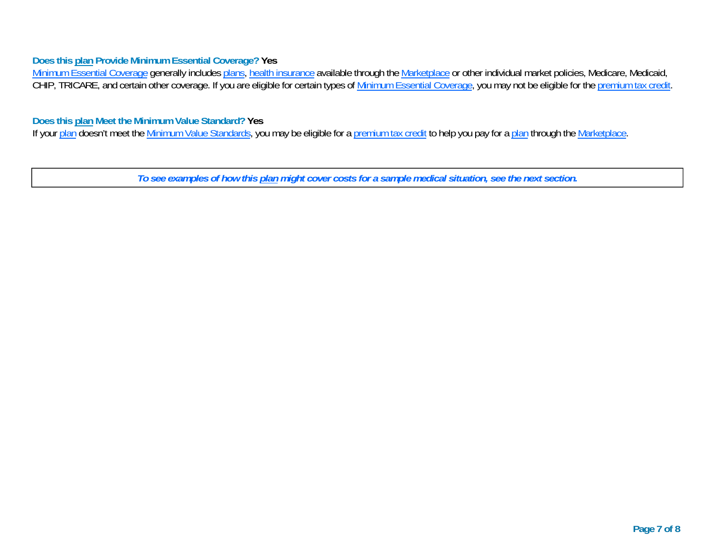## **Does this plan Provide Minimum Essential Coverage? Yes**

<u>Minimum Essential Coverage</u> generally includes <u>plans, health insurance</u> available through the <u>Marketplace</u> or other individual market policies, Medicare, Medicaid, CHIP, TRICARE, and certain other coverage. If you are eligible for certain types of <u>Minimum Essential Coverage</u>, you may not be eligible for the <u>premium tax credit</u>.

## **Does this plan Meet the Minimum Value Standard? Yes**

If your plan doesn't meet the Minimum Value Standards, you may be eligible for a premium tax credit to help you pay for a plan through the Marketplace.

*To see examples of how this plan might cover costs for a sample medical situation, see the next section.*